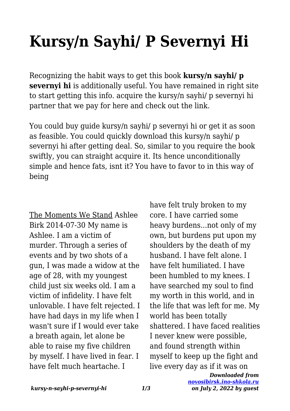## **Kursy/n Sayhi/ P Severnyi Hi**

Recognizing the habit ways to get this book **kursy/n sayhi/ p severnyi hi** is additionally useful. You have remained in right site to start getting this info. acquire the kursy/n sayhi/ p severnyi hi partner that we pay for here and check out the link.

You could buy guide kursy/n sayhi/ p severnyi hi or get it as soon as feasible. You could quickly download this kursy/n sayhi/ p severnyi hi after getting deal. So, similar to you require the book swiftly, you can straight acquire it. Its hence unconditionally simple and hence fats, isnt it? You have to favor to in this way of being

The Moments We Stand Ashlee Birk 2014-07-30 My name is Ashlee. I am a victim of murder. Through a series of events and by two shots of a gun, I was made a widow at the age of 28, with my youngest child just six weeks old. I am a victim of infidelity. I have felt unlovable. I have felt rejected. I have had days in my life when I wasn't sure if I would ever take a breath again, let alone be able to raise my five children by myself. I have lived in fear. I have felt much heartache. I

have felt truly broken to my core. I have carried some heavy burdens...not only of my own, but burdens put upon my shoulders by the death of my husband. I have felt alone. I have felt humiliated. I have been humbled to my knees. I have searched my soul to find my worth in this world, and in the life that was left for me. My world has been totally shattered. I have faced realities I never knew were possible, and found strength within myself to keep up the fight and live every day as if it was on

> *Downloaded from [novosibirsk.ino-shkola.ru](http://novosibirsk.ino-shkola.ru) on July 2, 2022 by guest*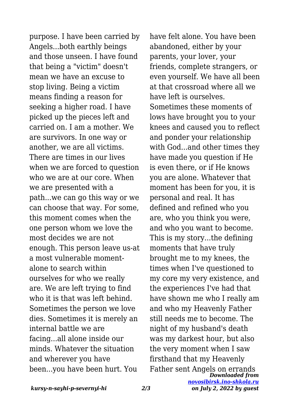purpose. I have been carried by Angels...both earthly beings and those unseen. I have found that being a "victim" doesn't mean we have an excuse to stop living. Being a victim means finding a reason for seeking a higher road. I have picked up the pieces left and carried on. I am a mother. We are survivors. In one way or another, we are all victims. There are times in our lives when we are forced to question who we are at our core. When we are presented with a path...we can go this way or we can choose that way. For some, this moment comes when the one person whom we love the most decides we are not enough. This person leave us-at a most vulnerable momentalone to search within ourselves for who we really are. We are left trying to find who it is that was left behind. Sometimes the person we love dies. Sometimes it is merely an internal battle we are facing...all alone inside our minds. Whatever the situation and wherever you have been...you have been hurt. You

*Downloaded from [novosibirsk.ino-shkola.ru](http://novosibirsk.ino-shkola.ru)* have felt alone. You have been abandoned, either by your parents, your lover, your friends, complete strangers, or even yourself. We have all been at that crossroad where all we have left is ourselves. Sometimes these moments of lows have brought you to your knees and caused you to reflect and ponder your relationship with God...and other times they have made you question if He is even there, or if He knows you are alone. Whatever that moment has been for you, it is personal and real. It has defined and refined who you are, who you think you were, and who you want to become. This is my story...the defining moments that have truly brought me to my knees, the times when I've questioned to my core my very existence, and the experiences I've had that have shown me who I really am and who my Heavenly Father still needs me to become. The night of my husband's death was my darkest hour, but also the very moment when I saw firsthand that my Heavenly Father sent Angels on errands

*on July 2, 2022 by guest*